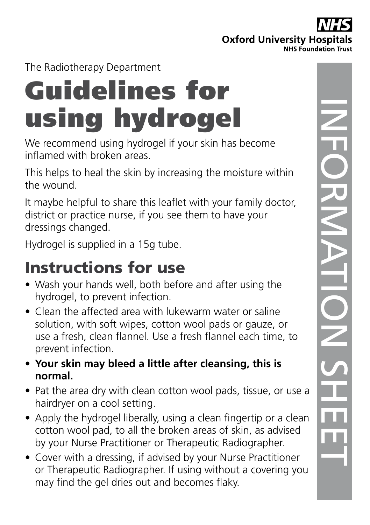#### **Oxford University Hospitals NHS Foundation Trust**

#### The Radiotherapy Department

# Guidelines for using hydrogel

We recommend using hydrogel if your skin has become inflamed with broken areas.

This helps to heal the skin by increasing the moisture within the wound.

It maybe helpful to share this leaflet with your family doctor, district or practice nurse, if you see them to have your dressings changed.

Hydrogel is supplied in a 15g tube.

### Instructions for use

- Wash your hands well, both before and after using the hydrogel, to prevent infection.
- Clean the affected area with lukewarm water or saline solution, with soft wipes, cotton wool pads or gauze, or use a fresh, clean flannel. Use a fresh flannel each time, to prevent infection.
- **Your skin may bleed a little after cleansing, this is normal.**
- Pat the area dry with clean cotton wool pads, tissue, or use a hairdryer on a cool setting.
- Apply the hydrogel liberally, using a clean fingertip or a clean cotton wool pad, to all the broken areas of skin, as advised by your Nurse Practitioner or Therapeutic Radiographer.
- Cover with a dressing, if advised by your Nurse Practitioner or Therapeutic Radiographer. If using without a covering you may find the gel dries out and becomes flaky.